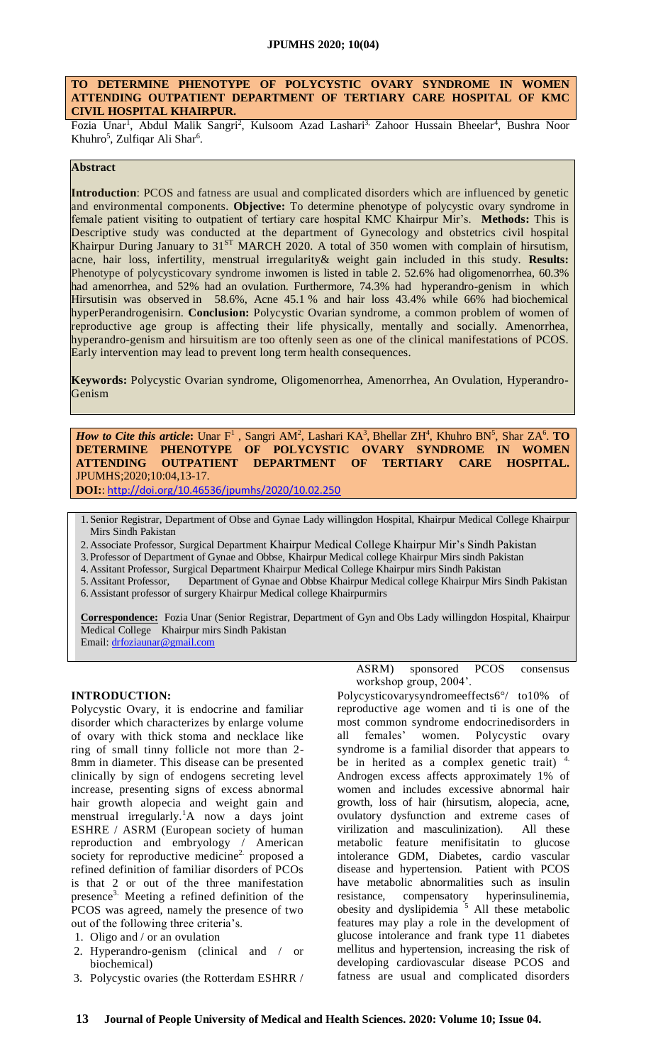## **TO DETERMINE PHENOTYPE OF POLYCYSTIC OVARY SYNDROME IN WOMEN ATTENDING OUTPATIENT DEPARTMENT OF TERTIARY CARE HOSPITAL OF KMC CIVIL HOSPITAL KHAIRPUR.**

Fozia Unar<sup>1</sup>, Abdul Malik Sangri<sup>2</sup>, Kulsoom Azad Lashari<sup>3,</sup> Zahoor Hussain Bheelar<sup>4</sup>, Bushra Noor Khuhro<sup>5</sup>, Zulfiqar Ali Shar<sup>6</sup>.

# **Abstract**

**Introduction**: PCOS and fatness are usual and complicated disorders which are influenced by genetic and environmental components. **Objective:** To determine phenotype of polycystic ovary syndrome in female patient visiting to outpatient of tertiary care hospital KMC Khairpur Mir's. **Methods:** This is Descriptive study was conducted at the department of Gynecology and obstetrics civil hospital Khairpur During January to 31<sup>ST</sup> MARCH 2020. A total of 350 women with complain of hirsutism, acne, hair loss, infertility, menstrual irregularity& weight gain included in this study. **Results:** Phenotype of polycysticovary syndrome inwomen is listed in table 2. 52.6% had oligomenorrhea, 60.3% had amenorrhea, and 52% had an ovulation. Furthermore, 74.3% had hyperandro-genism in which Hirsutisin was observed in 58.6%, Acne 45.1 % and hair loss 43.4% while 66% had biochemical hyperPerandrogenisirn. **Conclusion:** Polycystic Ovarian syndrome, a common problem of women of reproductive age group is affecting their life physically, mentally and socially. Amenorrhea, hyperandro-genism and hirsuitism are too oftenly seen as one of the clinical manifestations of PCOS. Early intervention may lead to prevent long term health consequences.

**Keywords:** Polycystic Ovarian syndrome, Oligomenorrhea, Amenorrhea, An Ovulation, Hyperandro-Genism

*How to Cite this article*: Unar  $F^1$ , Sangri AM<sup>2</sup>, Lashari KA<sup>3</sup>, Bhellar ZH<sup>4</sup>, Khuhro BN<sup>5</sup>, Shar ZA<sup>6</sup>. **TO DETERMINE PHENOTYPE OF POLYCYSTIC OVARY SYNDROME IN WOMEN ATTENDING OUTPATIENT DEPARTMENT OF TERTIARY CARE HOSPITAL.** JPUMHS;2020;10:04,13-17.

**DOI:**: <http://doi.org/10.46536/jpumhs/2020/10.02.250>

1.Senior Registrar, Department of Obse and Gynae Lady willingdon Hospital, Khairpur Medical College Khairpur Mirs Sindh Pakistan

- 2.Associate Professor, Surgical Department Khairpur Medical College Khairpur Mir's Sindh Pakistan
- 3.Professor of Department of Gynae and Obbse, Khairpur Medical college Khairpur Mirs sindh Pakistan

4.Assitant Professor, Surgical Department Khairpur Medical College Khairpur mirs Sindh Pakistan

5.Assitant Professor, Department of Gynae and Obbse Khairpur Medical college Khairpur Mirs Sindh Pakistan 6.Assistant professor of surgery Khairpur Medical college Khairpurmirs

**Correspondence:** Fozia Unar (Senior Registrar, Department of Gyn and Obs Lady willingdon Hospital, Khairpur Medical College Khairpur mirs Sindh Pakistan Email: [drfoziaunar@gmail.com](mailto:drfoziaunar@gmail.com)

#### **INTRODUCTION:**

Polycystic Ovary, it is endocrine and familiar disorder which characterizes by enlarge volume of ovary with thick stoma and necklace like ring of small tinny follicle not more than 2- 8mm in diameter. This disease can be presented clinically by sign of endogens secreting level increase, presenting signs of excess abnormal hair growth alopecia and weight gain and menstrual irregularly.<sup>1</sup>A now a days joint ESHRE / ASRM (European society of human reproduction and embryology / American society for reproductive medicine<sup>2</sup> proposed a refined definition of familiar disorders of PCOs is that 2 or out of the three manifestation presence3. Meeting a refined definition of the PCOS was agreed, namely the presence of two out of the following three criteria's.

- 1. Oligo and / or an ovulation
- 2. Hyperandro-genism (clinical and / or biochemical)
- 3. Polycystic ovaries (the Rotterdam ESHRR /

ASRM) sponsored PCOS consensus workshop group, 2004'.

Polycysticovarysyndromeeffects6°/ to10% of reproductive age women and ti is one of the most common syndrome endocrinedisorders in all females' women. Polycystic ovary syndrome is a familial disorder that appears to be in herited as a complex genetic trait)  $4$ . Androgen excess affects approximately 1% of women and includes excessive abnormal hair growth, loss of hair (hirsutism, alopecia, acne, ovulatory dysfunction and extreme cases of virilization and masculinization). All these metabolic feature menifisitatin to glucose intolerance GDM, Diabetes, cardio vascular disease and hypertension. Patient with PCOS have metabolic abnormalities such as insulin resistance, compensatory hyperinsulinemia, obesity and dyslipidemia  $\frac{5}{5}$  All these metabolic features may play a role in the development of glucose intolerance and frank type 11 diabetes mellitus and hypertension, increasing the risk of developing cardiovascular disease PCOS and fatness are usual and complicated disorders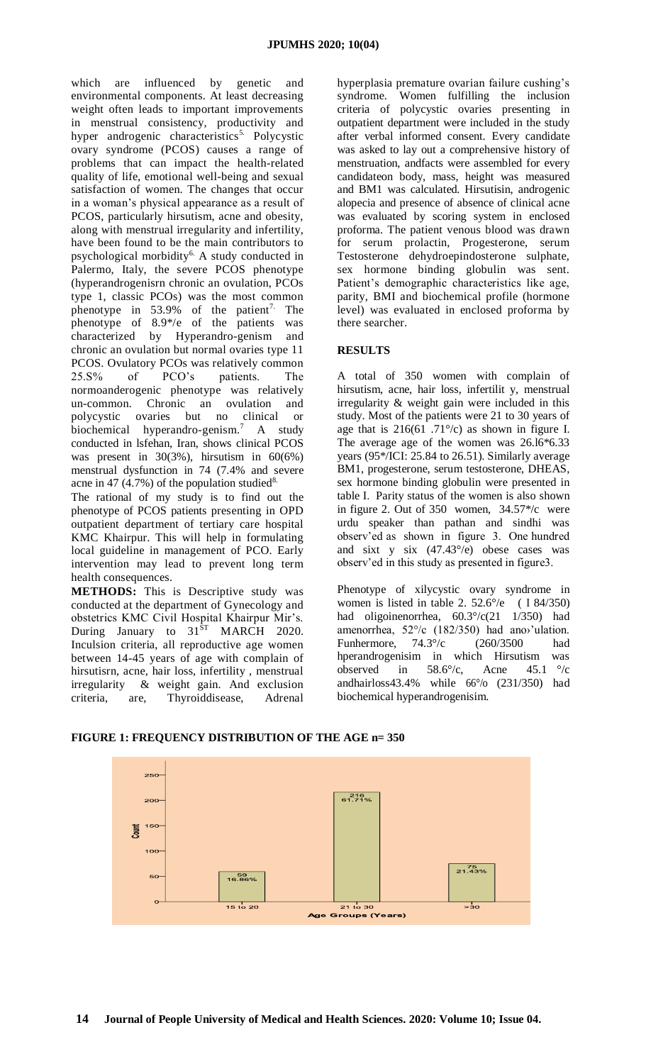which are influenced by genetic and environmental components. At least decreasing weight often leads to important improvements in menstrual consistency, productivity and hyper androgenic characteristics<sup>5.</sup> Polycystic ovary syndrome (PCOS) causes a range of problems that can impact the health-related quality of life, emotional well-being and sexual satisfaction of women. The changes that occur in a woman's physical appearance as a result of PCOS, particularly hirsutism, acne and obesity, along with menstrual irregularity and infertility, have been found to be the main contributors to psychological morbidity<sup>6.</sup> A study conducted in Palermo, Italy, the severe PCOS phenotype (hyperandrogenisrn chronic an ovulation, PCOs type 1, classic PCOs) was the most common phenotype in  $53.9\%$  of the patient<sup>7.</sup> The phenotype of 8.9\*/e of the patients was characterized by Hyperandro-genism and chronic an ovulation but normal ovaries type 11 PCOS. Ovulatory PCOs was relatively common 25.S% of PCO's patients. The normoanderogenic phenotype was relatively un-common. Chronic an ovulation and polycystic ovaries but no clinical or biochemical hyperandro-genism. <sup>7</sup> A study conducted in lsfehan, Iran, shows clinical PCOS was present in  $30(3\%)$ , hirsutism in  $60(6\%)$ menstrual dysfunction in 74 (7.4% and severe acne in 47 (4.7%) of the population studied<sup>8.</sup>

The rational of my study is to find out the phenotype of PCOS patients presenting in OPD outpatient department of tertiary care hospital KMC Khairpur. This will help in formulating local guideline in management of PCO. Early intervention may lead to prevent long term health consequences.

**METHODS:** This is Descriptive study was conducted at the department of Gynecology and obstetrics KMC Civil Hospital Khairpur Mir's. During January to  $31<sup>8T</sup>$  MARCH 2020. Inculsion criteria, all reproductive age women between 14-45 years of age with complain of hirsutisrn, acne, hair loss, infertility , menstrual irregularity & weight gain. And exclusion criteria, are, Thyroiddisease, Adrenal

hyperplasia premature ovarian failure cushing's syndrome. Women fulfilling the inclusion criteria of polycystic ovaries presenting in outpatient department were included in the study after verbal informed consent. Every candidate was asked to lay out a comprehensive history of menstruation, andfacts were assembled for every candidateon body, mass, height was measured and BM1 was calculated. Hirsutisin, androgenic alopecia and presence of absence of clinical acne was evaluated by scoring system in enclosed proforma. The patient venous blood was drawn for serum prolactin, Progesterone, serum Testosterone dehydroepindosterone sulphate, sex hormone binding globulin was sent. Patient's demographic characteristics like age, parity, BMI and biochemical profile (hormone level) was evaluated in enclosed proforma by there searcher.

# **RESULTS**

A total of 350 women with complain of hirsutism, acne, hair loss, infertilit y, menstrual irregularity & weight gain were included in this study. Most of the patients were 21 to 30 years of age that is  $216(61 \cdot .71^{\circ}/c)$  as shown in figure I. The average age of the women was 26.l6\*6.33 years (95\*/ICI: 25.84 to 26.51). Similarly average BM1, progesterone, serum testosterone, DHEAS, sex hormone binding globulin were presented in table I. Parity status of the women is also shown in figure 2. Out of 350 women, 34.57\*/c were urdu speaker than pathan and sindhi was observ'ed as shown in figure 3. One hundred and sixt y six (47.43°/e) obese cases was observ'ed in this study as presented in figure3.

Phenotype of xilycystic ovary syndrome in women is listed in table 2.  $52.6^{\circ}/e$  ( I 84/350) had oligoinenorrhea, 60.3°/c(21 1/350) had amenorrhea, 52°/c (182/350) had ano›'ulation. Funhermore, 74.3°/c (260/3500 had hperandrogenisim in which Hirsutism was observed in 58.6°/c, Acne 45.1 °/c andhairloss43.4% while 66°/o (231/350) had biochemical hyperandrogenisim.



# **FIGURE 1: FREQUENCY DISTRIBUTION OF THE AGE n= 350**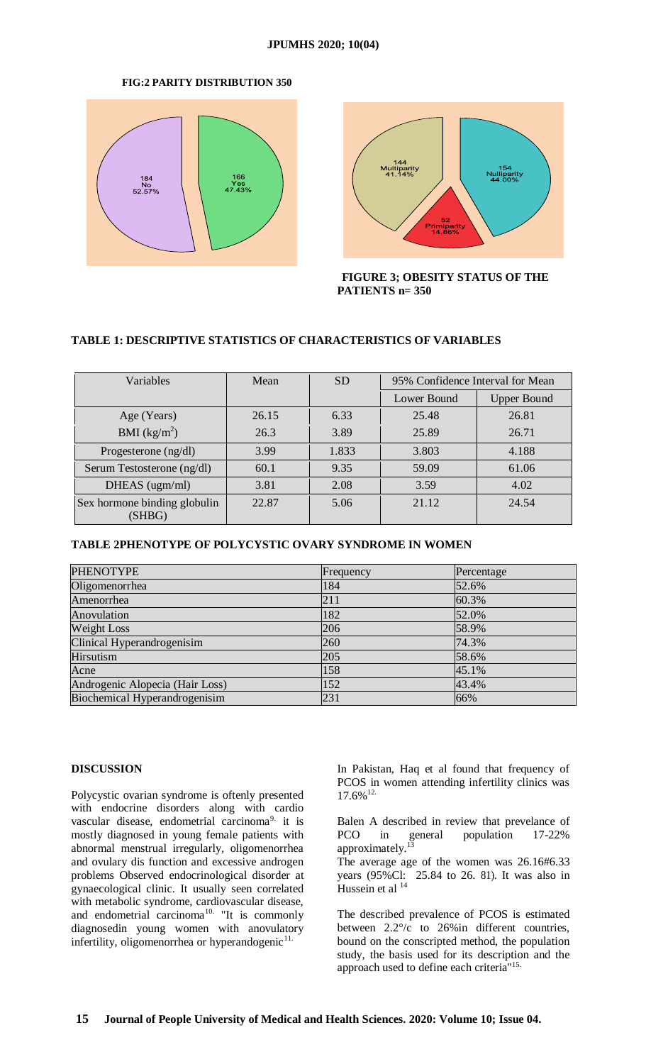#### **JPUMHS 2020; 10(04)**

## **FIG:2 PARITY DISTRIBUTION 350**





**FIGURE 3; OBESITY STATUS OF THE PATIENTS n= 350**

# **TABLE 1: DESCRIPTIVE STATISTICS OF CHARACTERISTICS OF VARIABLES**

| Variables                              | Mean  | <b>SD</b> | 95% Confidence Interval for Mean |                    |
|----------------------------------------|-------|-----------|----------------------------------|--------------------|
|                                        |       |           | Lower Bound                      | <b>Upper Bound</b> |
| Age (Years)                            | 26.15 | 6.33      | 25.48                            | 26.81              |
| BMI $(kg/m^2)$                         | 26.3  | 3.89      | 25.89                            | 26.71              |
| Progesterone $(ng/dl)$                 | 3.99  | 1.833     | 3.803                            | 4.188              |
| Serum Testosterone (ng/dl)             | 60.1  | 9.35      | 59.09                            | 61.06              |
| DHEAS (ugm/ml)                         | 3.81  | 2.08      | 3.59                             | 4.02               |
| Sex hormone binding globulin<br>(SHBG) | 22.87 | 5.06      | 21.12                            | 24.54              |

# **TABLE 2PHENOTYPE OF POLYCYSTIC OVARY SYNDROME IN WOMEN**

| <b>PHENOTYPE</b>                | Frequency | Percentage |
|---------------------------------|-----------|------------|
| Oligomenorrhea                  | 184       | 52.6%      |
| Amenorrhea                      | 211       | 60.3%      |
| Anovulation                     | 182       | 52.0%      |
| Weight Loss                     | 206       | 58.9%      |
| Clinical Hyperandrogenisim      | 260       | 74.3%      |
| Hirsutism                       | 205       | 58.6%      |
| Acne                            | 158       | 45.1%      |
| Androgenic Alopecia (Hair Loss) | 152       | 43.4%      |
| Biochemical Hyperandrogenisim   | 231       | 66%        |

#### **DISCUSSION**

Polycystic ovarian syndrome is oftenly presented with endocrine disorders along with cardio vascular disease, endometrial carcinoma<sup>9</sup> it is mostly diagnosed in young female patients with abnormal menstrual irregularly, oligomenorrhea and ovulary dis function and excessive androgen problems Observed endocrinological disorder at gynaecological clinic. It usually seen correlated with metabolic syndrome, cardiovascular disease, and endometrial carcinoma<sup>10.</sup> "It is commonly diagnosedin young women with anovulatory infertility, oligomenorrhea or hyperandogenic<sup>11.</sup>

In Pakistan, Haq et al found that frequency of PCOS in women attending infertility clinics was  $17.6\%$ <sup>12.</sup>

Balen A described in review that prevelance of PCO in general population 17-22% approximately.<sup>13</sup>

The average age of the women was 26.16#6.33 years (95%Cl: 25.84 to 26. 81). It was also in Hussein et al  $14$ 

The described prevalence of PCOS is estimated between 2.2°/c to 26%in different countries, bound on the conscripted method, the population study, the basis used for its description and the approach used to define each criteria''15.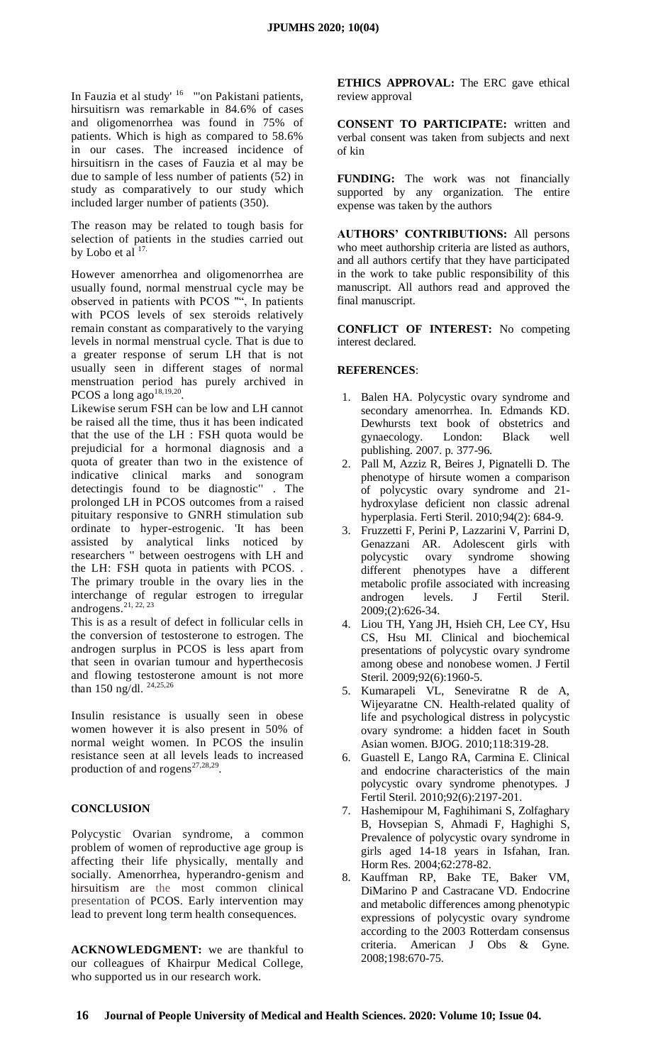In Fauzia et al study<sup>' 16</sup> "'on Pakistani patients, hirsuitisrn was remarkable in 84.6% of cases and oligomenorrhea was found in 75% of patients. Which is high as compared to 58.6% in our cases. The increased incidence of hirsuitisrn in the cases of Fauzia et al may be due to sample of less number of patients (52) in study as comparatively to our study which included larger number of patients (350).

The reason may be related to tough basis for selection of patients in the studies carried out by Lobo et al  $17$ .

However amenorrhea and oligomenorrhea are usually found, normal menstrual cycle may be observed in patients with PCOS "", In patients with PCOS levels of sex steroids relatively remain constant as comparatively to the varying levels in normal menstrual cycle. That is due to a greater response of serum LH that is not usually seen in different stages of normal menstruation period has purely archived in PCOS a long  $ago^{18,19,20}$ .

Likewise serum FSH can be low and LH cannot be raised all the time, thus it has been indicated that the use of the LH : FSH quota would be prejudicial for a hormonal diagnosis and a quota of greater than two in the existence of indicative clinical marks and sonogram detectingis found to be diagnostic'' . The prolonged LH in PCOS outcomes from a raised pituitary responsive to GNRH stimulation sub ordinate to hyper-estrogenic. 'It has been assisted by analytical links noticed by researchers '' between oestrogens with LH and the LH: FSH quota in patients with PCOS. . The primary trouble in the ovary lies in the interchange of regular estrogen to irregular androgens.<sup>21, 22, 23</sup>

This is as a result of defect in follicular cells in the conversion of testosterone to estrogen. The androgen surplus in PCOS is less apart from that seen in ovarian tumour and hyperthecosis and flowing testosterone amount is not more than 150 ng/dl. 24,25,26

Insulin resistance is usually seen in obese women however it is also present in 50% of normal weight women. In PCOS the insulin resistance seen at all levels leads to increased production of and rogens<sup>27,28,29</sup>.

#### **CONCLUSION**

Polycystic Ovarian syndrome, a common problem of women of reproductive age group is affecting their life physically, mentally and socially. Amenorrhea, hyperandro-genism and hirsuitism are the most common clinical presentation of PCOS. Early intervention may lead to prevent long term health consequences.

**ACKNOWLEDGMENT:** we are thankful to our colleagues of Khairpur Medical College, who supported us in our research work.

**ETHICS APPROVAL:** The ERC gave ethical review approval

**CONSENT TO PARTICIPATE:** written and verbal consent was taken from subjects and next of kin

**FUNDING:** The work was not financially supported by any organization. The entire expense was taken by the authors

**AUTHORS' CONTRIBUTIONS:** All persons who meet authorship criteria are listed as authors, and all authors certify that they have participated in the work to take public responsibility of this manuscript. All authors read and approved the final manuscript.

**CONFLICT OF INTEREST:** No competing interest declared.

#### **REFERENCES**:

- 1. Balen HA. Polycystic ovary syndrome and secondary amenorrhea. In. Edmands KD. Dewhursts text book of obstetrics and gynaecology. London: Black well publishing. 2007. p. 377-96.
- 2. Pall M, Azziz R, Beires J, Pignatelli D. The phenotype of hirsute women a comparison of polycystic ovary syndrome and 21 hydroxylase deficient non classic adrenal hyperplasia. Ferti Steril. 2010;94(2): 684-9.
- 3. Fruzzetti F, Perini P, Lazzarini V, Parrini D, Genazzani AR. Adolescent girls with polycystic ovary syndrome showing different phenotypes have a different metabolic profile associated with increasing androgen levels. J Fertil Steril. 2009;(2):626-34.
- 4. Liou TH, Yang JH, Hsieh CH, Lee CY, Hsu CS, Hsu MI. Clinical and biochemical presentations of polycystic ovary syndrome among obese and nonobese women. J Fertil Steril. 2009;92(6):1960-5.
- 5. Kumarapeli VL, Seneviratne R de A, Wijeyaratne CN. Health-related quality of life and psychological distress in polycystic ovary syndrome: a hidden facet in South Asian women. BJOG. 2010;118:319-28.
- 6. Guastell E, Lango RA, Carmina E. Clinical and endocrine characteristics of the main polycystic ovary syndrome phenotypes. J Fertil Steril. 2010;92(6):2197-201.
- 7. Hashemipour M, Faghihimani S, Zolfaghary B, Hovsepian S, Ahmadi F, Haghighi S, Prevalence of polycystic ovary syndrome in girls aged 14-18 years in Isfahan, Iran. Horm Res. 2004;62:278-82.
- 8. Kauffman RP, Bake TE, Baker VM, DiMarino P and Castracane VD. Endocrine and metabolic differences among phenotypic expressions of polycystic ovary syndrome according to the 2003 Rotterdam consensus criteria. American J Obs & Gyne. 2008;198:670-75.